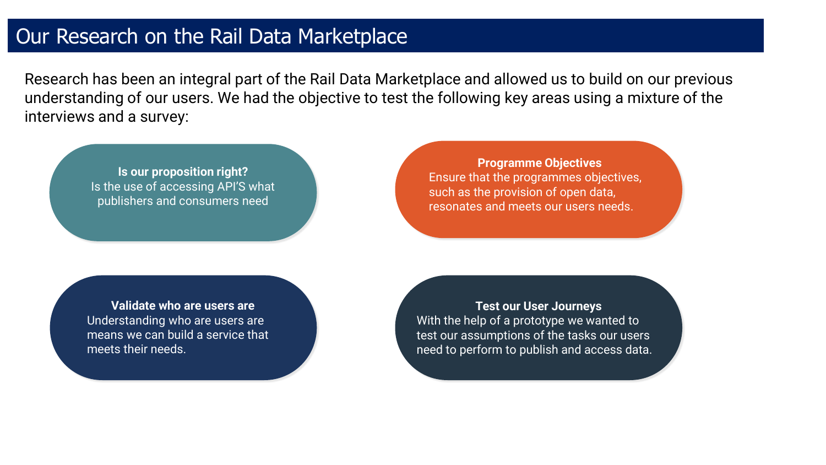#### Our Research on the Rail Data Marketplace

Research has been an integral part of the Rail Data Marketplace and allowed us to build on our previous understanding of our users. We had the objective to test the following key areas using a mixture of the interviews and a survey:

**Is our proposition right?**  Is the use of accessing API'S what publishers and consumers need

**Programme Objectives** Ensure that the programmes objectives, such as the provision of open data, resonates and meets our users needs.

**Validate who are users are** Understanding who are users are means we can build a service that meets their needs.

**Test our User Journeys** With the help of a prototype we wanted to test our assumptions of the tasks our users need to perform to publish and access data.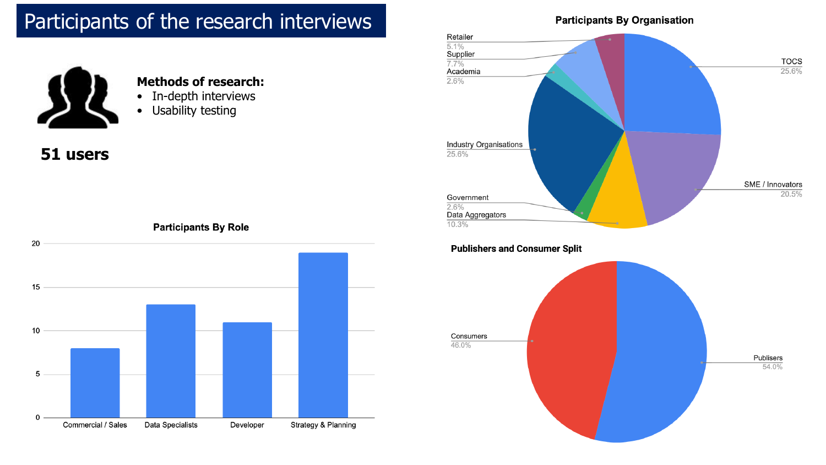# Participants of the research interviews



#### **Methods of research:**

- In-depth interviews
- Usability testing

#### **51 users**

**Participants By Role** 



#### **Participants By Organisation**



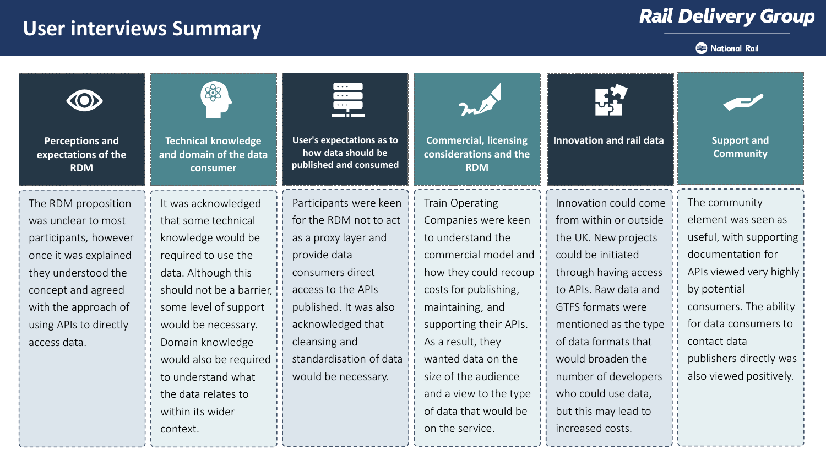# **User interviews Summary**

## **Rail Delivery Group**



| <b>Perceptions and</b><br>expectations of the<br><b>RDM</b>                                                                                                                                                 | 密<br><b>Technical knowledge</b><br>and domain of the data<br>consumer                                                                                                                                                                                                                                     | $\bullet$ $\bullet$ $\bullet$<br>$\bullet\bullet\bullet$<br>36 E<br>User's expectations as to<br>how data should be<br>published and consumed                                                                                                        | <b>Commercial, licensing</b><br>considerations and the<br><b>RDM</b>                                                                                                                                                                                                                                      | <b>Innovation and rail data</b>                                                                                                                                                                                                                                                                                          | <b>Support and</b><br><b>Community</b>                                                                                                                                                                                                                   |
|-------------------------------------------------------------------------------------------------------------------------------------------------------------------------------------------------------------|-----------------------------------------------------------------------------------------------------------------------------------------------------------------------------------------------------------------------------------------------------------------------------------------------------------|------------------------------------------------------------------------------------------------------------------------------------------------------------------------------------------------------------------------------------------------------|-----------------------------------------------------------------------------------------------------------------------------------------------------------------------------------------------------------------------------------------------------------------------------------------------------------|--------------------------------------------------------------------------------------------------------------------------------------------------------------------------------------------------------------------------------------------------------------------------------------------------------------------------|----------------------------------------------------------------------------------------------------------------------------------------------------------------------------------------------------------------------------------------------------------|
| The RDM proposition<br>was unclear to most<br>participants, however<br>once it was explained<br>they understood the<br>concept and agreed<br>with the approach of<br>using APIs to directly<br>access data. | It was acknowledged<br>that some technical<br>knowledge would be<br>required to use the<br>data. Although this<br>should not be a barrier,<br>some level of support<br>would be necessary.<br>Domain knowledge<br>would also be required<br>to understand what<br>the data relates to<br>within its wider | Participants were keen<br>for the RDM not to act<br>as a proxy layer and<br>provide data<br>consumers direct<br>access to the APIs<br>published. It was also<br>acknowledged that<br>cleansing and<br>standardisation of data<br>would be necessary. | Train Operating<br>Companies were keen<br>to understand the<br>commercial model and<br>how they could recoup<br>costs for publishing,<br>maintaining, and<br>supporting their APIs.<br>As a result, they<br>wanted data on the<br>size of the audience<br>and a view to the type<br>of data that would be | Innovation could come<br>from within or outside<br>the UK. New projects<br>could be initiated<br>through having access<br>to APIs. Raw data and<br><b>GTFS</b> formats were<br>mentioned as the type<br>of data formats that<br>would broaden the<br>number of developers<br>who could use data,<br>but this may lead to | The community<br>element was seen as<br>useful, with supporting<br>documentation for<br>APIs viewed very highly<br>by potential<br>consumers. The ability<br>for data consumers to<br>contact data<br>publishers directly was<br>also viewed positively. |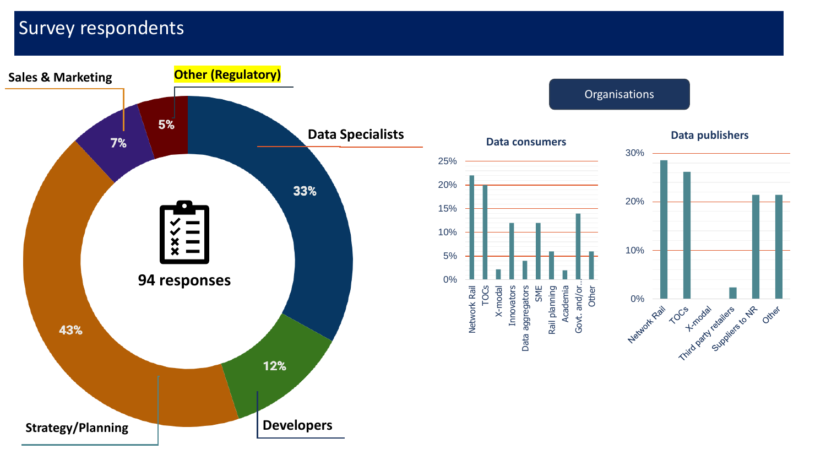## Survey respondents

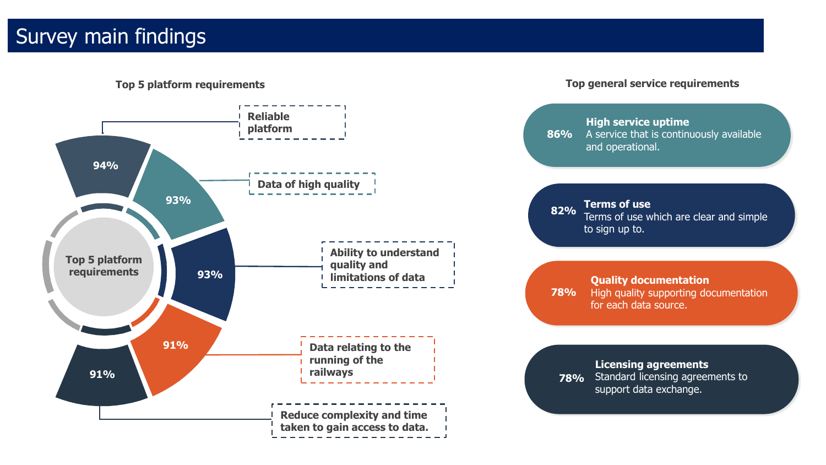# Survey main findings

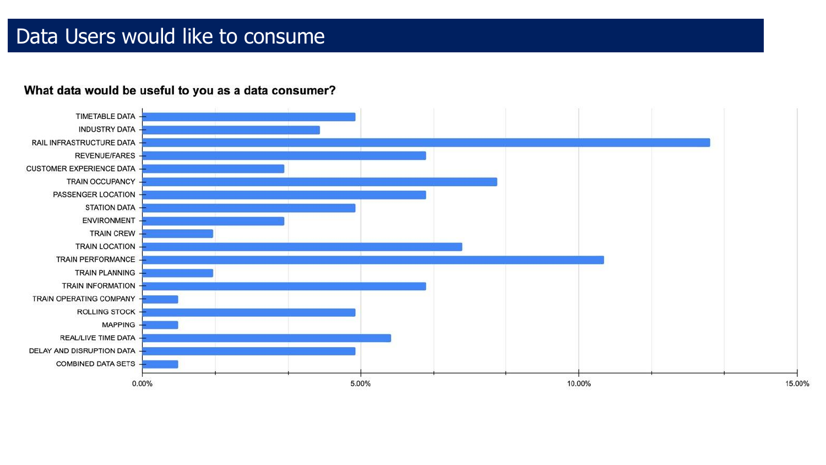## Data Users would like to consume

#### What data would be useful to you as a data consumer?